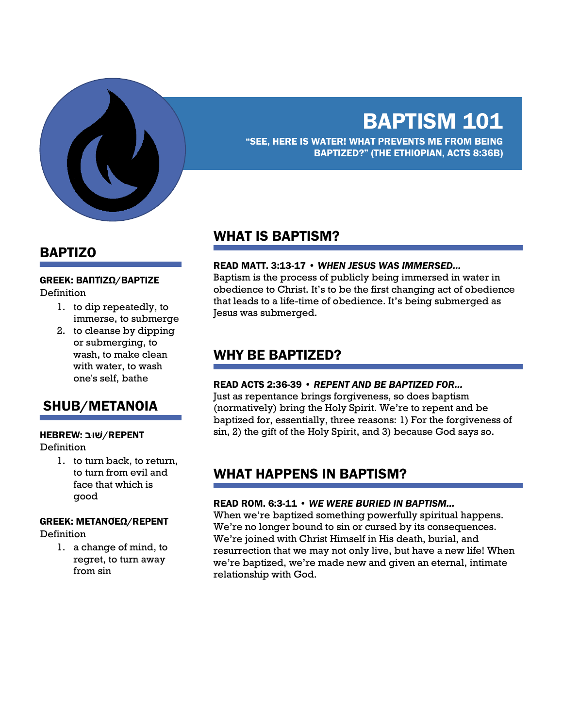

# BAPTISM 101

"SEE, HERE IS WATER! WHAT PREVENTS ME FROM BEING BAPTIZED?" (THE ETHIOPIAN, ACTS 8:36B)

### BAPTIZO

#### GREEK: ΒΑΠΤΊΖΩ/BAPTIZE

Definition

- 1. to dip repeatedly, to immerse, to submerge
- 2. to cleanse by dipping or submerging, to wash, to make clean with water, to wash one's self, bathe

### SHUB/METANOIA

#### REPENT**ׁ**/**שּוב** :HEBREW

**Definition** 

1. to turn back, to return, to turn from evil and face that which is good

### GREEK: ΜΕΤΑΝΟΈΩ/REPENT

Definition

1. a change of mind, to regret, to turn away from sin

### WHAT IS BAPTISM?

#### READ MATT. 3:13-17 • *WHEN JESUS WAS IMMERSED…*

Baptism is the process of publicly being immersed in water in obedience to Christ. It's to be the first changing act of obedience that leads to a life-time of obedience. It's being submerged as Jesus was submerged.

### WHY BE BAPTIZED?

#### READ ACTS 2:36-39 • *REPENT AND BE BAPTIZED FOR…*

Just as repentance brings forgiveness, so does baptism (normatively) bring the Holy Spirit. We're to repent and be baptized for, essentially, three reasons: 1) For the forgiveness of sin, 2) the gift of the Holy Spirit, and 3) because God says so.

### WHAT HAPPENS IN BAPTISM?

#### READ ROM. 6:3-11 • *WE WERE BURIED IN BAPTISM…*

When we're baptized something powerfully spiritual happens. We're no longer bound to sin or cursed by its consequences. We're joined with Christ Himself in His death, burial, and resurrection that we may not only live, but have a new life! When we're baptized, we're made new and given an eternal, intimate relationship with God.